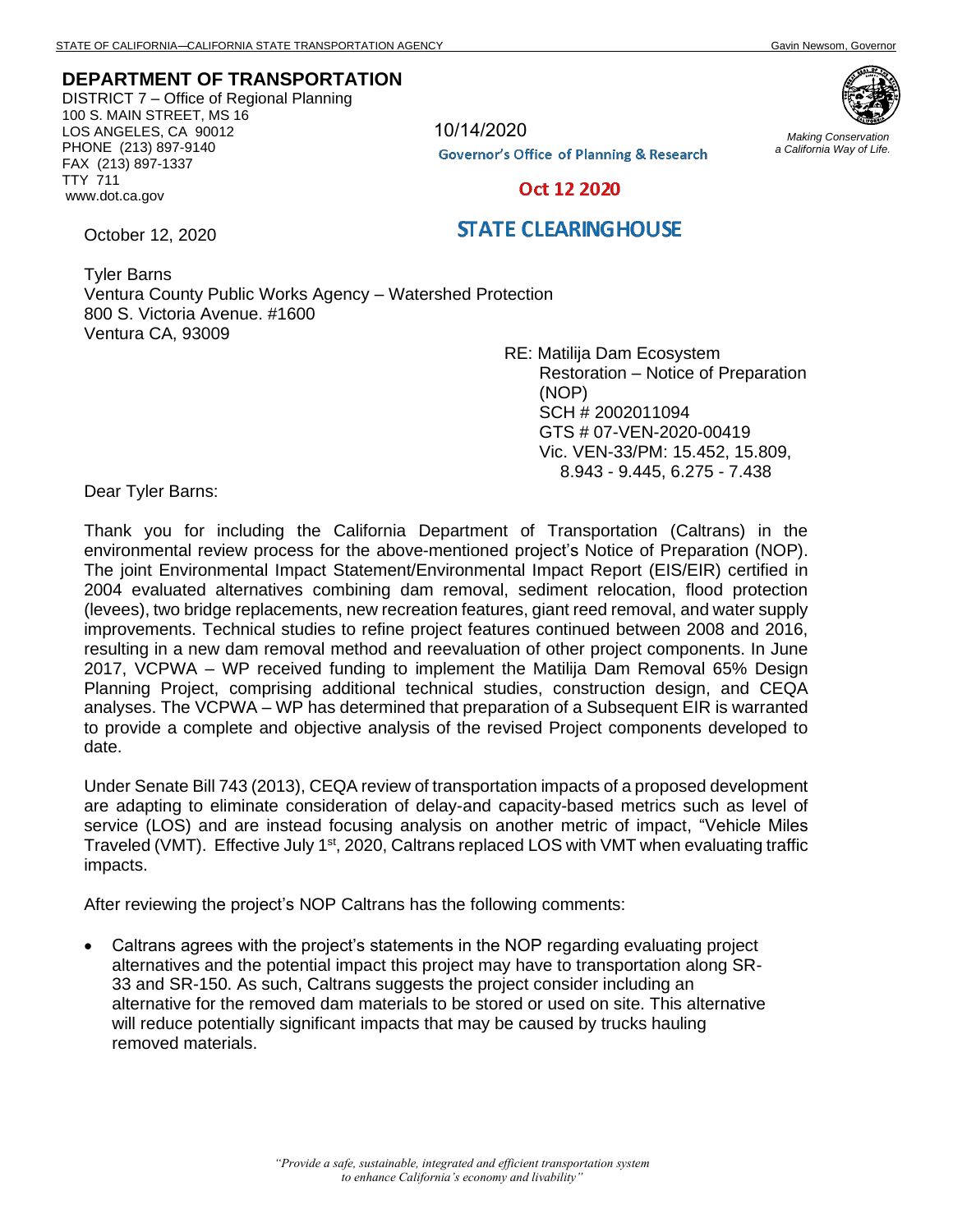*Making Conservation a California Way of Life.*

## **DEPARTMENT OF TRANSPORTATION**

DISTRICT 7 – Office of Regional Planning 100 S. MAIN STREET, MS 16 LOS ANGELES, CA 90012 PHONE (213) 897-9140 FAX (213) 897-1337 TTY 711 www.dot.ca.gov



10/14/2020

**Governor's Office of Planning & Research** 

Oct 12 2020

## **STATE CLEARINGHOUSE**

Tyler Barns Ventura County Public Works Agency – Watershed Protection 800 S. Victoria Avenue. #1600 Ventura CA, 93009

RE: Matilija Dam Ecosystem Restoration – Notice of Preparation (NOP) SCH # 2002011094 GTS # 07-VEN-2020-00419 Vic. VEN-33/PM: 15.452, 15.809, 8.943 - 9.445, 6.275 - 7.438

Dear Tyler Barns:

October 12, 2020

Thank you for including the California Department of Transportation (Caltrans) in the environmental review process for the above-mentioned project's Notice of Preparation (NOP). The joint Environmental Impact Statement/Environmental Impact Report (EIS/EIR) certified in 2004 evaluated alternatives combining dam removal, sediment relocation, flood protection (levees), two bridge replacements, new recreation features, giant reed removal, and water supply improvements. Technical studies to refine project features continued between 2008 and 2016, resulting in a new dam removal method and reevaluation of other project components. In June 2017, VCPWA – WP received funding to implement the Matilija Dam Removal 65% Design Planning Project, comprising additional technical studies, construction design, and CEQA analyses. The VCPWA – WP has determined that preparation of a Subsequent EIR is warranted to provide a complete and objective analysis of the revised Project components developed to date.

Under Senate Bill 743 (2013), CEQA review of transportation impacts of a proposed development are adapting to eliminate consideration of delay-and capacity-based metrics such as level of service (LOS) and are instead focusing analysis on another metric of impact, "Vehicle Miles Traveled (VMT). Effective July 1<sup>st</sup>, 2020, Caltrans replaced LOS with VMT when evaluating traffic impacts.

After reviewing the project's NOP Caltrans has the following comments:

• Caltrans agrees with the project's statements in the NOP regarding evaluating project alternatives and the potential impact this project may have to transportation along SR-33 and SR-150. As such, Caltrans suggests the project consider including an alternative for the removed dam materials to be stored or used on site. This alternative will reduce potentially significant impacts that may be caused by trucks hauling removed materials.